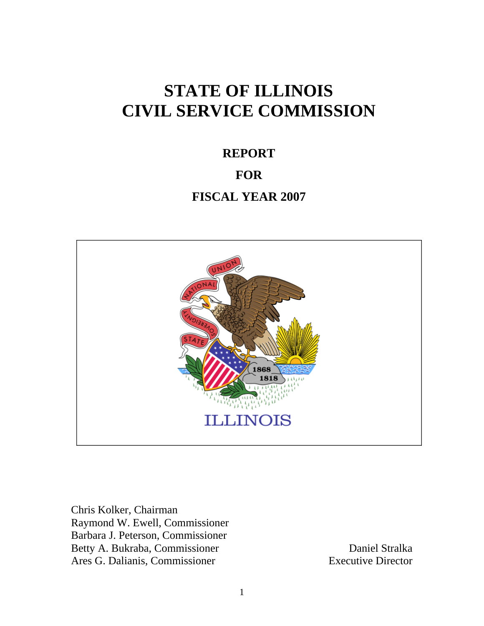# **STATE OF ILLINOIS CIVIL SERVICE COMMISSION**

# **REPORT FOR FISCAL YEAR 2007**



Chris Kolker, Chairman Raymond W. Ewell, Commissioner Barbara J. Peterson, Commissioner Betty A. Bukraba, Commissioner Daniel Stralka Ares G. Dalianis, Commissioner Executive Director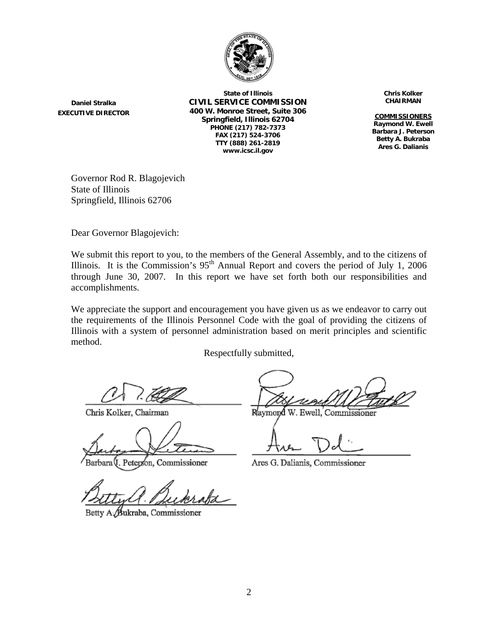

**Daniel Stralka EXECUTIVE DIRECTOR**

**State of Illinois CIVIL SERVICE COMMISSION 400 W. Monroe Street, Suite 306 Springfield, Illinois 62704 PHONE (217) 782-7373 FAX (217) 524-3706 TTY (888) 261-2819 www.icsc.il.gov**

**Chris Kolker CHAIRMAN**

**COMMISSIONERS Raymond W. Ewell Barbara J. Peterson Betty A. Bukraba Ares G. Dalianis**

Governor Rod R. Blagojevich State of Illinois Springfield, Illinois 62706

Dear Governor Blagojevich:

We submit this report to you, to the members of the General Assembly, and to the citizens of Illinois. It is the Commission's  $95<sup>th</sup>$  Annual Report and covers the period of July 1, 2006 through June 30, 2007. In this report we have set forth both our responsibilities and accomplishments.

We appreciate the support and encouragement you have given us as we endeavor to carry out the requirements of the Illinois Personnel Code with the goal of providing the citizens of Illinois with a system of personnel administration based on merit principles and scientific method.

Respectfully submitted,

Chris Kolker, Chairman

Peterson, Commissioner

Betty A /Bukraba, Commissioner

Raymond W. Ewell, Commissioner

Ares G. Dalianis, Commissioner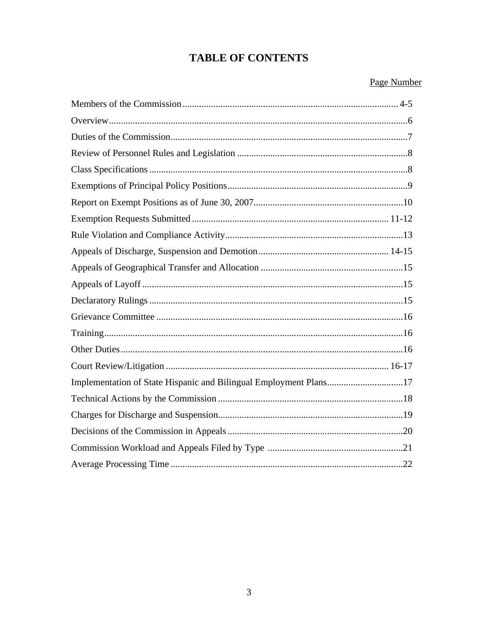# **TABLE OF CONTENTS**

#### Page Number

| Implementation of State Hispanic and Bilingual Employment Plans17 |  |
|-------------------------------------------------------------------|--|
|                                                                   |  |
|                                                                   |  |
|                                                                   |  |
|                                                                   |  |
|                                                                   |  |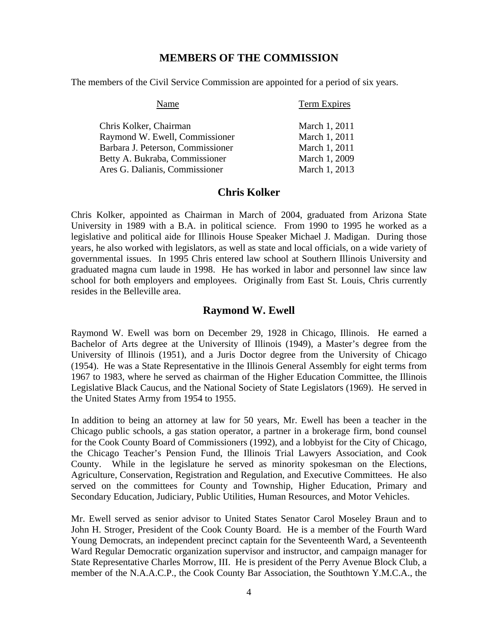#### **MEMBERS OF THE COMMISSION**

The members of the Civil Service Commission are appointed for a period of six years.

| Name                              | Term Expires  |
|-----------------------------------|---------------|
| Chris Kolker, Chairman            | March 1, 2011 |
| Raymond W. Ewell, Commissioner    | March 1, 2011 |
| Barbara J. Peterson, Commissioner | March 1, 2011 |
| Betty A. Bukraba, Commissioner    | March 1, 2009 |
| Ares G. Dalianis, Commissioner    | March 1, 2013 |

#### **Chris Kolker**

Chris Kolker, appointed as Chairman in March of 2004, graduated from Arizona State University in 1989 with a B.A. in political science. From 1990 to 1995 he worked as a legislative and political aide for Illinois House Speaker Michael J. Madigan. During those years, he also worked with legislators, as well as state and local officials, on a wide variety of governmental issues. In 1995 Chris entered law school at Southern Illinois University and graduated magna cum laude in 1998. He has worked in labor and personnel law since law school for both employers and employees. Originally from East St. Louis, Chris currently resides in the Belleville area.

#### **Raymond W. Ewell**

Raymond W. Ewell was born on December 29, 1928 in Chicago, Illinois. He earned a Bachelor of Arts degree at the University of Illinois (1949), a Master's degree from the University of Illinois (1951), and a Juris Doctor degree from the University of Chicago (1954). He was a State Representative in the Illinois General Assembly for eight terms from 1967 to 1983, where he served as chairman of the Higher Education Committee, the Illinois Legislative Black Caucus, and the National Society of State Legislators (1969). He served in the United States Army from 1954 to 1955.

In addition to being an attorney at law for 50 years, Mr. Ewell has been a teacher in the Chicago public schools, a gas station operator, a partner in a brokerage firm, bond counsel for the Cook County Board of Commissioners (1992), and a lobbyist for the City of Chicago, the Chicago Teacher's Pension Fund, the Illinois Trial Lawyers Association, and Cook County. While in the legislature he served as minority spokesman on the Elections, Agriculture, Conservation, Registration and Regulation, and Executive Committees. He also served on the committees for County and Township, Higher Education, Primary and Secondary Education, Judiciary, Public Utilities, Human Resources, and Motor Vehicles.

Mr. Ewell served as senior advisor to United States Senator Carol Moseley Braun and to John H. Stroger, President of the Cook County Board. He is a member of the Fourth Ward Young Democrats, an independent precinct captain for the Seventeenth Ward, a Seventeenth Ward Regular Democratic organization supervisor and instructor, and campaign manager for State Representative Charles Morrow, III. He is president of the Perry Avenue Block Club, a member of the N.A.A.C.P., the Cook County Bar Association, the Southtown Y.M.C.A., the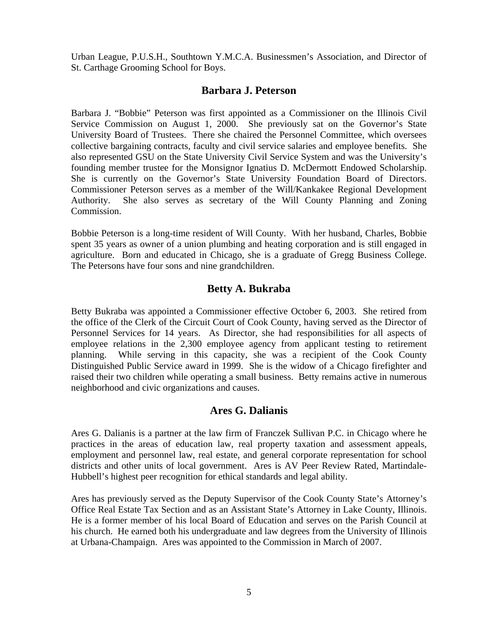Urban League, P.U.S.H., Southtown Y.M.C.A. Businessmen's Association, and Director of St. Carthage Grooming School for Boys.

#### **Barbara J. Peterson**

Barbara J. "Bobbie" Peterson was first appointed as a Commissioner on the Illinois Civil Service Commission on August 1, 2000. She previously sat on the Governor's State University Board of Trustees. There she chaired the Personnel Committee, which oversees collective bargaining contracts, faculty and civil service salaries and employee benefits. She also represented GSU on the State University Civil Service System and was the University's founding member trustee for the Monsignor Ignatius D. McDermott Endowed Scholarship. She is currently on the Governor's State University Foundation Board of Directors. Commissioner Peterson serves as a member of the Will/Kankakee Regional Development Authority. She also serves as secretary of the Will County Planning and Zoning Commission.

Bobbie Peterson is a long-time resident of Will County. With her husband, Charles, Bobbie spent 35 years as owner of a union plumbing and heating corporation and is still engaged in agriculture. Born and educated in Chicago, she is a graduate of Gregg Business College. The Petersons have four sons and nine grandchildren.

#### **Betty A. Bukraba**

Betty Bukraba was appointed a Commissioner effective October 6, 2003. She retired from the office of the Clerk of the Circuit Court of Cook County, having served as the Director of Personnel Services for 14 years. As Director, she had responsibilities for all aspects of employee relations in the 2,300 employee agency from applicant testing to retirement planning. While serving in this capacity, she was a recipient of the Cook County Distinguished Public Service award in 1999. She is the widow of a Chicago firefighter and raised their two children while operating a small business. Betty remains active in numerous neighborhood and civic organizations and causes.

#### **Ares G. Dalianis**

Ares G. Dalianis is a partner at the law firm of Franczek Sullivan P.C. in Chicago where he practices in the areas of education law, real property taxation and assessment appeals, employment and personnel law, real estate, and general corporate representation for school districts and other units of local government. Ares is AV Peer Review Rated, Martindale-Hubbell's highest peer recognition for ethical standards and legal ability.

Ares has previously served as the Deputy Supervisor of the Cook County State's Attorney's Office Real Estate Tax Section and as an Assistant State's Attorney in Lake County, Illinois. He is a former member of his local Board of Education and serves on the Parish Council at his church. He earned both his undergraduate and law degrees from the University of Illinois at Urbana-Champaign. Ares was appointed to the Commission in March of 2007.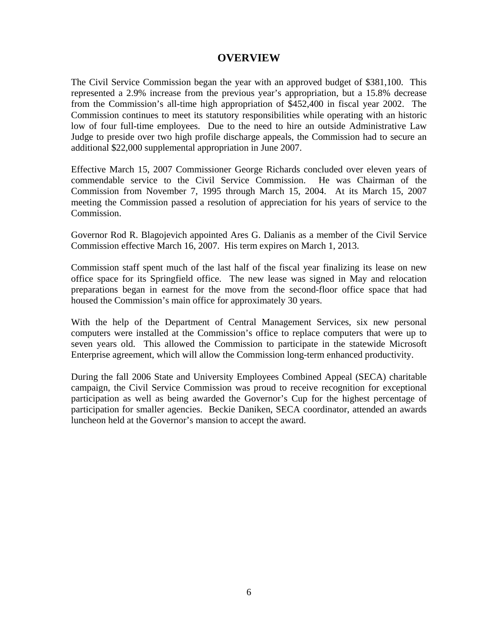#### **OVERVIEW**

The Civil Service Commission began the year with an approved budget of \$381,100. This represented a 2.9% increase from the previous year's appropriation, but a 15.8% decrease from the Commission's all-time high appropriation of \$452,400 in fiscal year 2002. The Commission continues to meet its statutory responsibilities while operating with an historic low of four full-time employees. Due to the need to hire an outside Administrative Law Judge to preside over two high profile discharge appeals, the Commission had to secure an additional \$22,000 supplemental appropriation in June 2007.

Effective March 15, 2007 Commissioner George Richards concluded over eleven years of commendable service to the Civil Service Commission. He was Chairman of the Commission from November 7, 1995 through March 15, 2004. At its March 15, 2007 meeting the Commission passed a resolution of appreciation for his years of service to the Commission.

Governor Rod R. Blagojevich appointed Ares G. Dalianis as a member of the Civil Service Commission effective March 16, 2007. His term expires on March 1, 2013.

Commission staff spent much of the last half of the fiscal year finalizing its lease on new office space for its Springfield office. The new lease was signed in May and relocation preparations began in earnest for the move from the second-floor office space that had housed the Commission's main office for approximately 30 years.

With the help of the Department of Central Management Services, six new personal computers were installed at the Commission's office to replace computers that were up to seven years old. This allowed the Commission to participate in the statewide Microsoft Enterprise agreement, which will allow the Commission long-term enhanced productivity.

During the fall 2006 State and University Employees Combined Appeal (SECA) charitable campaign, the Civil Service Commission was proud to receive recognition for exceptional participation as well as being awarded the Governor's Cup for the highest percentage of participation for smaller agencies. Beckie Daniken, SECA coordinator, attended an awards luncheon held at the Governor's mansion to accept the award.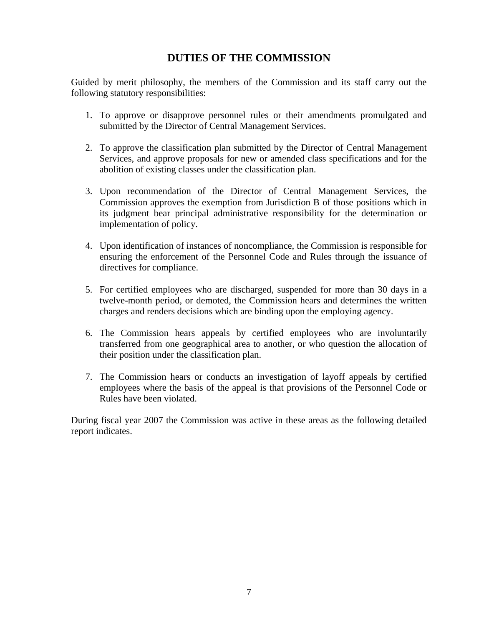# **DUTIES OF THE COMMISSION**

Guided by merit philosophy, the members of the Commission and its staff carry out the following statutory responsibilities:

- 1. To approve or disapprove personnel rules or their amendments promulgated and submitted by the Director of Central Management Services.
- 2. To approve the classification plan submitted by the Director of Central Management Services, and approve proposals for new or amended class specifications and for the abolition of existing classes under the classification plan.
- 3. Upon recommendation of the Director of Central Management Services, the Commission approves the exemption from Jurisdiction B of those positions which in its judgment bear principal administrative responsibility for the determination or implementation of policy.
- 4. Upon identification of instances of noncompliance, the Commission is responsible for ensuring the enforcement of the Personnel Code and Rules through the issuance of directives for compliance.
- 5. For certified employees who are discharged, suspended for more than 30 days in a twelve-month period, or demoted, the Commission hears and determines the written charges and renders decisions which are binding upon the employing agency.
- 6. The Commission hears appeals by certified employees who are involuntarily transferred from one geographical area to another, or who question the allocation of their position under the classification plan.
- 7. The Commission hears or conducts an investigation of layoff appeals by certified employees where the basis of the appeal is that provisions of the Personnel Code or Rules have been violated.

During fiscal year 2007 the Commission was active in these areas as the following detailed report indicates.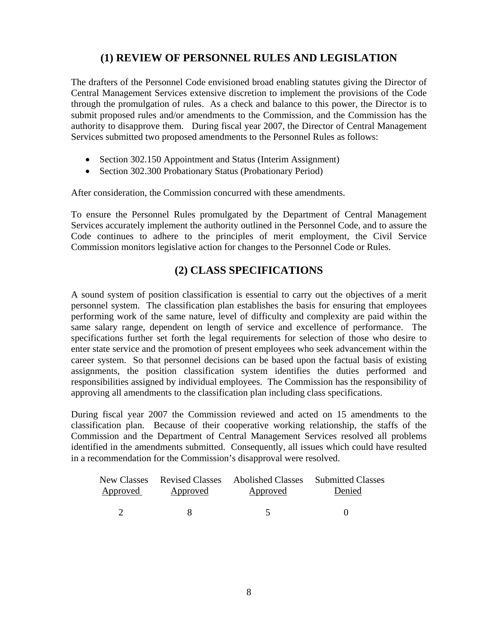# **(1) REVIEW OF PERSONNEL RULES AND LEGISLATION**

The drafters of the Personnel Code envisioned broad enabling statutes giving the Director of Central Management Services extensive discretion to implement the provisions of the Code through the promulgation of rules. As a check and balance to this power, the Director is to submit proposed rules and/or amendments to the Commission, and the Commission has the authority to disapprove them. During fiscal year 2007, the Director of Central Management Services submitted two proposed amendments to the Personnel Rules as follows:

- Section 302.150 Appointment and Status (Interim Assignment)
- Section 302.300 Probationary Status (Probationary Period)

After consideration, the Commission concurred with these amendments.

To ensure the Personnel Rules promulgated by the Department of Central Management Services accurately implement the authority outlined in the Personnel Code, and to assure the Code continues to adhere to the principles of merit employment, the Civil Service Commission monitors legislative action for changes to the Personnel Code or Rules.

# **(2) CLASS SPECIFICATIONS**

A sound system of position classification is essential to carry out the objectives of a merit personnel system. The classification plan establishes the basis for ensuring that employees performing work of the same nature, level of difficulty and complexity are paid within the same salary range, dependent on length of service and excellence of performance. The specifications further set forth the legal requirements for selection of those who desire to enter state service and the promotion of present employees who seek advancement within the career system. So that personnel decisions can be based upon the factual basis of existing assignments, the position classification system identifies the duties performed and responsibilities assigned by individual employees. The Commission has the responsibility of approving all amendments to the classification plan including class specifications.

During fiscal year 2007 the Commission reviewed and acted on 15 amendments to the classification plan. Because of their cooperative working relationship, the staffs of the Commission and the Department of Central Management Services resolved all problems identified in the amendments submitted. Consequently, all issues which could have resulted in a recommendation for the Commission's disapproval were resolved.

| Approved | Approved | New Classes Revised Classes Abolished Classes Submitted Classes<br>Approved | Denied |
|----------|----------|-----------------------------------------------------------------------------|--------|
|          |          |                                                                             |        |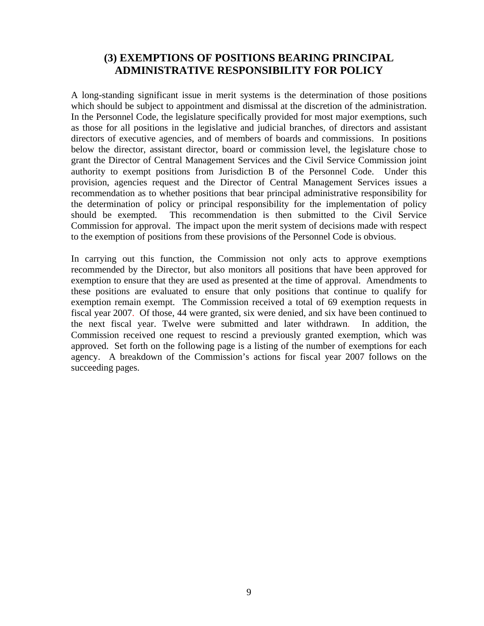#### **(3) EXEMPTIONS OF POSITIONS BEARING PRINCIPAL ADMINISTRATIVE RESPONSIBILITY FOR POLICY**

A long-standing significant issue in merit systems is the determination of those positions which should be subject to appointment and dismissal at the discretion of the administration. In the Personnel Code, the legislature specifically provided for most major exemptions, such as those for all positions in the legislative and judicial branches, of directors and assistant directors of executive agencies, and of members of boards and commissions. In positions below the director, assistant director, board or commission level, the legislature chose to grant the Director of Central Management Services and the Civil Service Commission joint authority to exempt positions from Jurisdiction B of the Personnel Code. Under this provision, agencies request and the Director of Central Management Services issues a recommendation as to whether positions that bear principal administrative responsibility for the determination of policy or principal responsibility for the implementation of policy should be exempted. This recommendation is then submitted to the Civil Service Commission for approval. The impact upon the merit system of decisions made with respect to the exemption of positions from these provisions of the Personnel Code is obvious.

In carrying out this function, the Commission not only acts to approve exemptions recommended by the Director, but also monitors all positions that have been approved for exemption to ensure that they are used as presented at the time of approval. Amendments to these positions are evaluated to ensure that only positions that continue to qualify for exemption remain exempt. The Commission received a total of 69 exemption requests in fiscal year 2007. Of those, 44 were granted, six were denied, and six have been continued to the next fiscal year. Twelve were submitted and later withdrawn. In addition, the Commission received one request to rescind a previously granted exemption, which was approved. Set forth on the following page is a listing of the number of exemptions for each agency. A breakdown of the Commission's actions for fiscal year 2007 follows on the succeeding pages.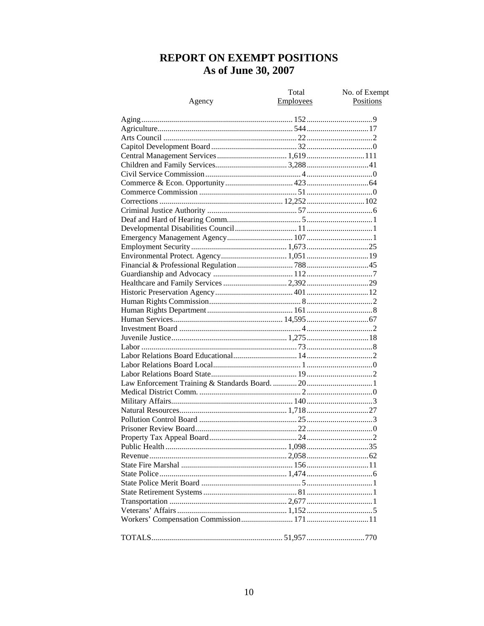# REPORT ON EXEMPT POSITIONS As of June 30, 2007

| Agency                                 | Total<br>Employees | No. of Exempt<br>Positions |
|----------------------------------------|--------------------|----------------------------|
|                                        |                    |                            |
|                                        |                    |                            |
|                                        |                    |                            |
|                                        |                    |                            |
|                                        |                    |                            |
|                                        |                    |                            |
|                                        |                    |                            |
|                                        |                    |                            |
|                                        |                    |                            |
|                                        |                    |                            |
|                                        |                    |                            |
|                                        |                    |                            |
|                                        |                    |                            |
|                                        |                    |                            |
|                                        |                    |                            |
|                                        |                    |                            |
| Environmental Protect. Agency 1,051 19 |                    |                            |
|                                        |                    |                            |
|                                        |                    |                            |
|                                        |                    |                            |
|                                        |                    |                            |
|                                        |                    |                            |
|                                        |                    |                            |
|                                        |                    |                            |
|                                        |                    |                            |
|                                        |                    |                            |
|                                        |                    |                            |
|                                        |                    |                            |
|                                        |                    |                            |
|                                        |                    |                            |
|                                        |                    |                            |
|                                        |                    |                            |
|                                        |                    |                            |
|                                        |                    |                            |
|                                        |                    |                            |
|                                        |                    |                            |
|                                        |                    |                            |
|                                        |                    |                            |
|                                        |                    |                            |
|                                        |                    |                            |
|                                        |                    |                            |
|                                        |                    |                            |
|                                        |                    |                            |
|                                        |                    |                            |
|                                        |                    |                            |
|                                        |                    |                            |
|                                        |                    |                            |
|                                        |                    |                            |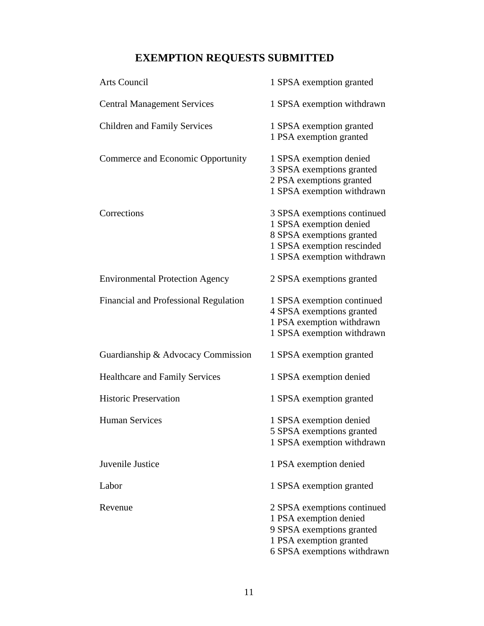# **EXEMPTION REQUESTS SUBMITTED**

| <b>Arts Council</b>                    | 1 SPSA exemption granted                                                                                                                        |
|----------------------------------------|-------------------------------------------------------------------------------------------------------------------------------------------------|
| <b>Central Management Services</b>     | 1 SPSA exemption withdrawn                                                                                                                      |
| <b>Children and Family Services</b>    | 1 SPSA exemption granted<br>1 PSA exemption granted                                                                                             |
| Commerce and Economic Opportunity      | 1 SPSA exemption denied<br>3 SPSA exemptions granted<br>2 PSA exemptions granted<br>1 SPSA exemption withdrawn                                  |
| Corrections                            | 3 SPSA exemptions continued<br>1 SPSA exemption denied<br>8 SPSA exemptions granted<br>1 SPSA exemption rescinded<br>1 SPSA exemption withdrawn |
| <b>Environmental Protection Agency</b> | 2 SPSA exemptions granted                                                                                                                       |
| Financial and Professional Regulation  | 1 SPSA exemption continued<br>4 SPSA exemptions granted<br>1 PSA exemption withdrawn<br>1 SPSA exemption withdrawn                              |
| Guardianship & Advocacy Commission     | 1 SPSA exemption granted                                                                                                                        |
| <b>Healthcare and Family Services</b>  | 1 SPSA exemption denied                                                                                                                         |
| <b>Historic Preservation</b>           | 1 SPSA exemption granted                                                                                                                        |
| <b>Human Services</b>                  | 1 SPSA exemption denied<br>5 SPSA exemptions granted<br>1 SPSA exemption withdrawn                                                              |
| Juvenile Justice                       | 1 PSA exemption denied                                                                                                                          |
| Labor                                  | 1 SPSA exemption granted                                                                                                                        |
| Revenue                                | 2 SPSA exemptions continued<br>1 PSA exemption denied<br>9 SPSA exemptions granted<br>1 PSA exemption granted<br>6 SPSA exemptions withdrawn    |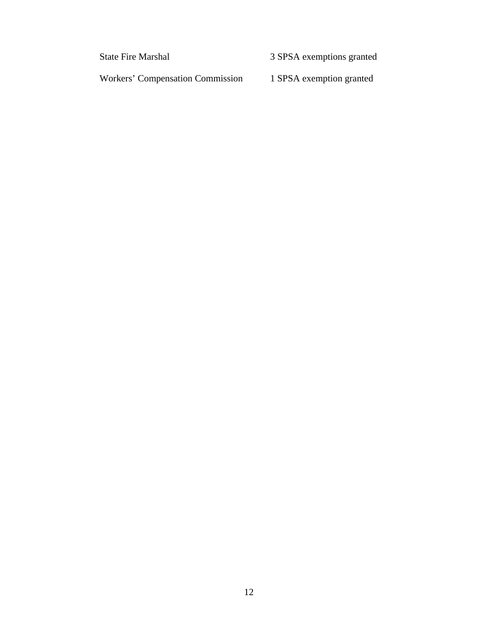State Fire Marshal 3 SPSA exemptions granted

Workers' Compensation Commission 1 SPSA exemption granted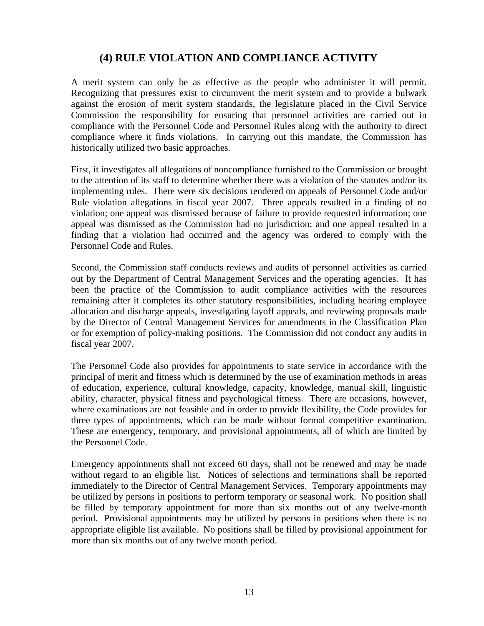# **(4) RULE VIOLATION AND COMPLIANCE ACTIVITY**

A merit system can only be as effective as the people who administer it will permit. Recognizing that pressures exist to circumvent the merit system and to provide a bulwark against the erosion of merit system standards, the legislature placed in the Civil Service Commission the responsibility for ensuring that personnel activities are carried out in compliance with the Personnel Code and Personnel Rules along with the authority to direct compliance where it finds violations. In carrying out this mandate, the Commission has historically utilized two basic approaches.

First, it investigates all allegations of noncompliance furnished to the Commission or brought to the attention of its staff to determine whether there was a violation of the statutes and/or its implementing rules. There were six decisions rendered on appeals of Personnel Code and/or Rule violation allegations in fiscal year 2007. Three appeals resulted in a finding of no violation; one appeal was dismissed because of failure to provide requested information; one appeal was dismissed as the Commission had no jurisdiction; and one appeal resulted in a finding that a violation had occurred and the agency was ordered to comply with the Personnel Code and Rules.

Second, the Commission staff conducts reviews and audits of personnel activities as carried out by the Department of Central Management Services and the operating agencies. It has been the practice of the Commission to audit compliance activities with the resources remaining after it completes its other statutory responsibilities, including hearing employee allocation and discharge appeals, investigating layoff appeals, and reviewing proposals made by the Director of Central Management Services for amendments in the Classification Plan or for exemption of policy-making positions. The Commission did not conduct any audits in fiscal year 2007.

The Personnel Code also provides for appointments to state service in accordance with the principal of merit and fitness which is determined by the use of examination methods in areas of education, experience, cultural knowledge, capacity, knowledge, manual skill, linguistic ability, character, physical fitness and psychological fitness. There are occasions, however, where examinations are not feasible and in order to provide flexibility, the Code provides for three types of appointments, which can be made without formal competitive examination. These are emergency, temporary, and provisional appointments, all of which are limited by the Personnel Code.

Emergency appointments shall not exceed 60 days, shall not be renewed and may be made without regard to an eligible list. Notices of selections and terminations shall be reported immediately to the Director of Central Management Services. Temporary appointments may be utilized by persons in positions to perform temporary or seasonal work. No position shall be filled by temporary appointment for more than six months out of any twelve-month period. Provisional appointments may be utilized by persons in positions when there is no appropriate eligible list available. No positions shall be filled by provisional appointment for more than six months out of any twelve month period.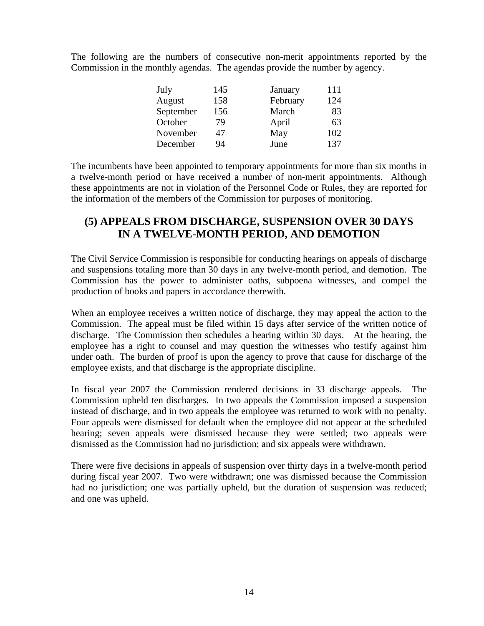The following are the numbers of consecutive non-merit appointments reported by the Commission in the monthly agendas. The agendas provide the number by agency.

| July      | 145 | January  | 111 |
|-----------|-----|----------|-----|
| August    | 158 | February | 124 |
| September | 156 | March    | 83  |
| October   | 79  | April    | 63  |
| November  | 47  | May      | 102 |
| December  | 94  | June     | 137 |

The incumbents have been appointed to temporary appointments for more than six months in a twelve-month period or have received a number of non-merit appointments. Although these appointments are not in violation of the Personnel Code or Rules, they are reported for the information of the members of the Commission for purposes of monitoring.

#### **(5) APPEALS FROM DISCHARGE, SUSPENSION OVER 30 DAYS IN A TWELVE-MONTH PERIOD, AND DEMOTION**

The Civil Service Commission is responsible for conducting hearings on appeals of discharge and suspensions totaling more than 30 days in any twelve-month period, and demotion. The Commission has the power to administer oaths, subpoena witnesses, and compel the production of books and papers in accordance therewith.

When an employee receives a written notice of discharge, they may appeal the action to the Commission. The appeal must be filed within 15 days after service of the written notice of discharge. The Commission then schedules a hearing within 30 days. At the hearing, the employee has a right to counsel and may question the witnesses who testify against him under oath. The burden of proof is upon the agency to prove that cause for discharge of the employee exists, and that discharge is the appropriate discipline.

In fiscal year 2007 the Commission rendered decisions in 33 discharge appeals. The Commission upheld ten discharges. In two appeals the Commission imposed a suspension instead of discharge, and in two appeals the employee was returned to work with no penalty. Four appeals were dismissed for default when the employee did not appear at the scheduled hearing; seven appeals were dismissed because they were settled; two appeals were dismissed as the Commission had no jurisdiction; and six appeals were withdrawn.

There were five decisions in appeals of suspension over thirty days in a twelve-month period during fiscal year 2007. Two were withdrawn; one was dismissed because the Commission had no jurisdiction; one was partially upheld, but the duration of suspension was reduced; and one was upheld.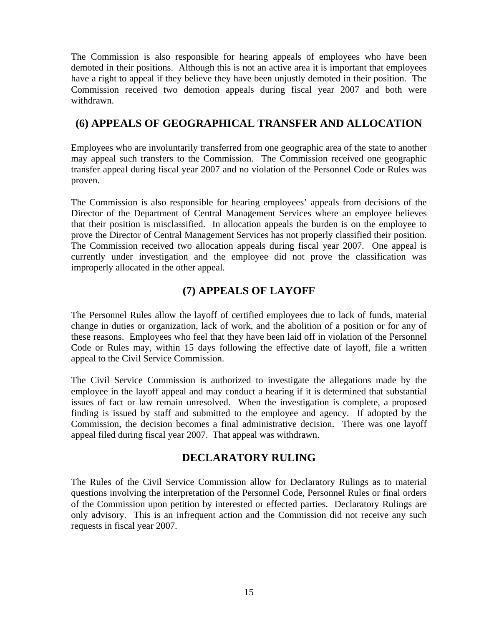The Commission is also responsible for hearing appeals of employees who have been demoted in their positions. Although this is not an active area it is important that employees have a right to appeal if they believe they have been unjustly demoted in their position. The Commission received two demotion appeals during fiscal year 2007 and both were withdrawn.

## **(6) APPEALS OF GEOGRAPHICAL TRANSFER AND ALLOCATION**

Employees who are involuntarily transferred from one geographic area of the state to another may appeal such transfers to the Commission. The Commission received one geographic transfer appeal during fiscal year 2007 and no violation of the Personnel Code or Rules was proven.

The Commission is also responsible for hearing employees' appeals from decisions of the Director of the Department of Central Management Services where an employee believes that their position is misclassified. In allocation appeals the burden is on the employee to prove the Director of Central Management Services has not properly classified their position. The Commission received two allocation appeals during fiscal year 2007. One appeal is currently under investigation and the employee did not prove the classification was improperly allocated in the other appeal.

# **(7) APPEALS OF LAYOFF**

The Personnel Rules allow the layoff of certified employees due to lack of funds, material change in duties or organization, lack of work, and the abolition of a position or for any of these reasons. Employees who feel that they have been laid off in violation of the Personnel Code or Rules may, within 15 days following the effective date of layoff, file a written appeal to the Civil Service Commission.

The Civil Service Commission is authorized to investigate the allegations made by the employee in the layoff appeal and may conduct a hearing if it is determined that substantial issues of fact or law remain unresolved. When the investigation is complete, a proposed finding is issued by staff and submitted to the employee and agency. If adopted by the Commission, the decision becomes a final administrative decision. There was one layoff appeal filed during fiscal year 2007. That appeal was withdrawn.

# **DECLARATORY RULING**

The Rules of the Civil Service Commission allow for Declaratory Rulings as to material questions involving the interpretation of the Personnel Code, Personnel Rules or final orders of the Commission upon petition by interested or effected parties. Declaratory Rulings are only advisory. This is an infrequent action and the Commission did not receive any such requests in fiscal year 2007.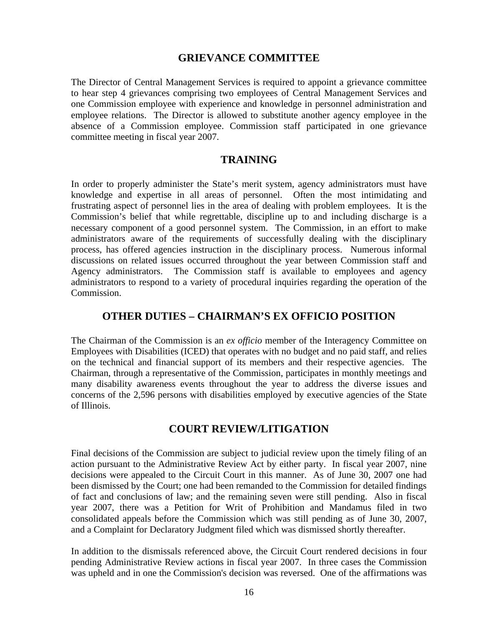#### **GRIEVANCE COMMITTEE**

The Director of Central Management Services is required to appoint a grievance committee to hear step 4 grievances comprising two employees of Central Management Services and one Commission employee with experience and knowledge in personnel administration and employee relations. The Director is allowed to substitute another agency employee in the absence of a Commission employee. Commission staff participated in one grievance committee meeting in fiscal year 2007.

#### **TRAINING**

In order to properly administer the State's merit system, agency administrators must have knowledge and expertise in all areas of personnel. Often the most intimidating and frustrating aspect of personnel lies in the area of dealing with problem employees. It is the Commission's belief that while regrettable, discipline up to and including discharge is a necessary component of a good personnel system. The Commission, in an effort to make administrators aware of the requirements of successfully dealing with the disciplinary process, has offered agencies instruction in the disciplinary process. Numerous informal discussions on related issues occurred throughout the year between Commission staff and Agency administrators. The Commission staff is available to employees and agency administrators to respond to a variety of procedural inquiries regarding the operation of the Commission.

#### **OTHER DUTIES – CHAIRMAN'S EX OFFICIO POSITION**

The Chairman of the Commission is an *ex officio* member of the Interagency Committee on Employees with Disabilities (ICED) that operates with no budget and no paid staff, and relies on the technical and financial support of its members and their respective agencies. The Chairman, through a representative of the Commission, participates in monthly meetings and many disability awareness events throughout the year to address the diverse issues and concerns of the 2,596 persons with disabilities employed by executive agencies of the State of Illinois.

#### **COURT REVIEW/LITIGATION**

Final decisions of the Commission are subject to judicial review upon the timely filing of an action pursuant to the Administrative Review Act by either party. In fiscal year 2007, nine decisions were appealed to the Circuit Court in this manner. As of June 30, 2007 one had been dismissed by the Court; one had been remanded to the Commission for detailed findings of fact and conclusions of law; and the remaining seven were still pending. Also in fiscal year 2007, there was a Petition for Writ of Prohibition and Mandamus filed in two consolidated appeals before the Commission which was still pending as of June 30, 2007, and a Complaint for Declaratory Judgment filed which was dismissed shortly thereafter.

In addition to the dismissals referenced above, the Circuit Court rendered decisions in four pending Administrative Review actions in fiscal year 2007. In three cases the Commission was upheld and in one the Commission's decision was reversed. One of the affirmations was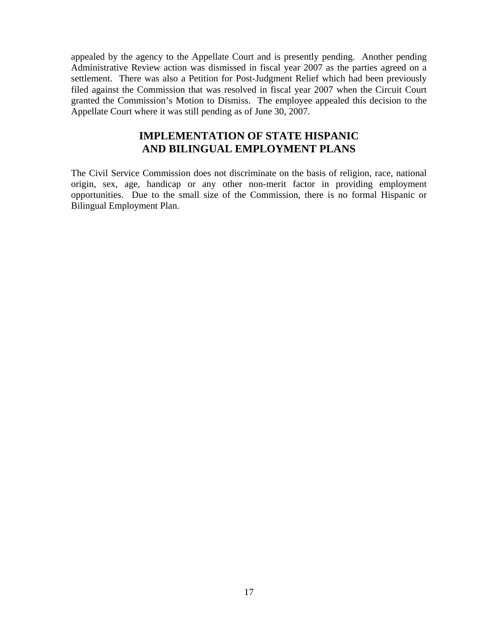appealed by the agency to the Appellate Court and is presently pending. Another pending Administrative Review action was dismissed in fiscal year 2007 as the parties agreed on a settlement. There was also a Petition for Post-Judgment Relief which had been previously filed against the Commission that was resolved in fiscal year 2007 when the Circuit Court granted the Commission's Motion to Dismiss. The employee appealed this decision to the Appellate Court where it was still pending as of June 30, 2007.

#### **IMPLEMENTATION OF STATE HISPANIC AND BILINGUAL EMPLOYMENT PLANS**

The Civil Service Commission does not discriminate on the basis of religion, race, national origin, sex, age, handicap or any other non-merit factor in providing employment opportunities. Due to the small size of the Commission, there is no formal Hispanic or Bilingual Employment Plan.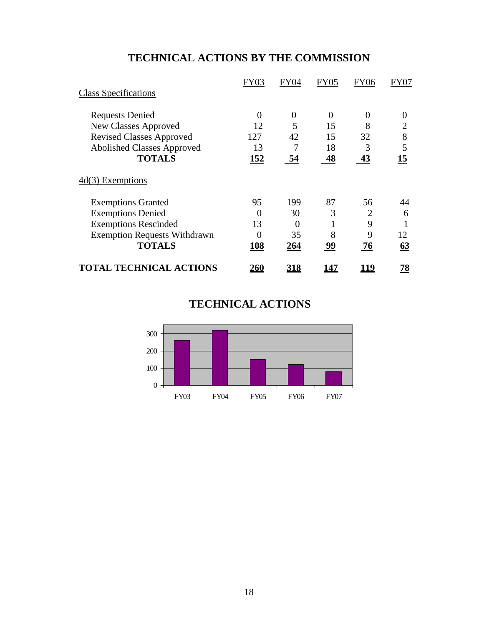# **TECHNICAL ACTIONS BY THE COMMISSION**

|                                     | FY03           | FY04           | FY05        | FY06 | FY07 |
|-------------------------------------|----------------|----------------|-------------|------|------|
| <b>Class Specifications</b>         |                |                |             |      |      |
| <b>Requests Denied</b>              | $\overline{0}$ | $\overline{0}$ | 0           | 0    | 0    |
| <b>New Classes Approved</b>         | 12             | 5              | 15          | 8    |      |
| <b>Revised Classes Approved</b>     | 127            | 42             | 15          | 32   | 8    |
| <b>Abolished Classes Approved</b>   | 13             | 7              | 18          | 3    | 5    |
| <b>TOTALS</b>                       | 152            | 54             | 48          | 43   | 15   |
| $4d(3)$ Exemptions                  |                |                |             |      |      |
| <b>Exemptions Granted</b>           | 95             | 199            | 87          | 56   | 44   |
| <b>Exemptions Denied</b>            | $\theta$       | 30             | 3           | 2    | 6    |
| <b>Exemptions Rescinded</b>         | 13             | $\theta$       |             | 9    |      |
| <b>Exemption Requests Withdrawn</b> | 0              | 35             | 8           | 9    | 12   |
| <b>TOTALS</b>                       | 108            | 264            | 99          | 76   | 63   |
| <b>TOTAL TECHNICAL ACTIONS</b>      | <u> 260</u>    | <u> 318</u>    | <u> 147</u> |      | 78   |

# **TECHNICAL ACTIONS**

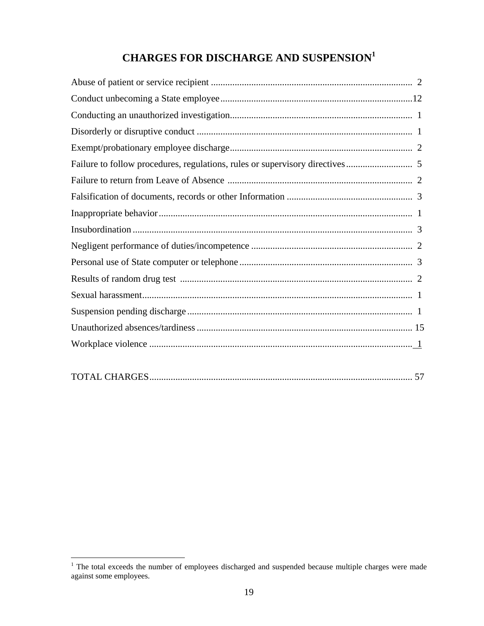# **CHARGES FOR DISCHARGE AND SUSPENSION<sup>1</sup>**

<sup>&</sup>lt;sup>1</sup> The total exceeds the number of employees discharged and suspended because multiple charges were made against some employees.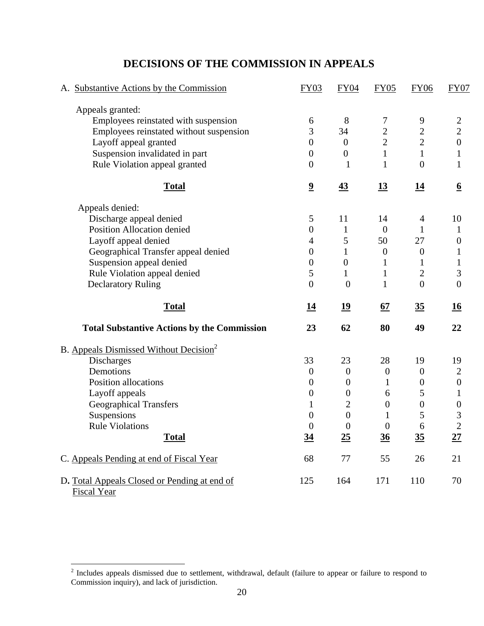| A. Substantive Actions by the Commission           | <b>FY03</b>             | <b>FY04</b>      | <b>FY05</b>      | <b>FY06</b>      | FY07             |
|----------------------------------------------------|-------------------------|------------------|------------------|------------------|------------------|
| Appeals granted:                                   |                         |                  |                  |                  |                  |
| Employees reinstated with suspension               | 6                       | 8                | 7                | 9                | $\overline{c}$   |
| Employees reinstated without suspension            | 3                       | 34               | $\overline{2}$   | $\sqrt{2}$       | $\overline{2}$   |
| Layoff appeal granted                              | $\overline{0}$          | $\mathbf{0}$     | $\overline{2}$   | $\overline{2}$   | $\boldsymbol{0}$ |
| Suspension invalidated in part                     | $\theta$                | $\boldsymbol{0}$ | $\mathbf{1}$     | $\mathbf{1}$     | $\mathbf{1}$     |
| Rule Violation appeal granted                      | $\boldsymbol{0}$        | 1                | $\mathbf{1}$     | $\boldsymbol{0}$ | $\mathbf{1}$     |
| <b>Total</b>                                       | $\overline{\mathbf{2}}$ | $\overline{43}$  | <u>13</u>        | <u>14</u>        | $\underline{6}$  |
| Appeals denied:                                    |                         |                  |                  |                  |                  |
| Discharge appeal denied                            | 5                       | 11               | 14               | 4                | 10               |
| Position Allocation denied                         | $\theta$                | $\mathbf{1}$     | $\overline{0}$   | 1                | $\mathbf{1}$     |
| Layoff appeal denied                               | 4                       | 5                | 50               | 27               | $\boldsymbol{0}$ |
| Geographical Transfer appeal denied                | $\theta$                | $\mathbf{1}$     | $\boldsymbol{0}$ | $\boldsymbol{0}$ | $\mathbf{1}$     |
| Suspension appeal denied                           | $\theta$                | $\boldsymbol{0}$ | 1                | 1                | 1                |
| Rule Violation appeal denied                       | 5                       | 1                | $\mathbf{1}$     | $\overline{2}$   | 3                |
| <b>Declaratory Ruling</b>                          | $\overline{0}$          | $\mathbf{0}$     | 1                | $\overline{0}$   | $\overline{0}$   |
| <b>Total</b>                                       | <u>14</u>               | <u>19</u>        | 67               | 35               | <u>16</u>        |
| <b>Total Substantive Actions by the Commission</b> | 23                      | 62               | 80               | 49               | 22               |
| B. Appeals Dismissed Without Decision <sup>2</sup> |                         |                  |                  |                  |                  |
| Discharges                                         | 33                      | 23               | 28               | 19               | 19               |
| Demotions                                          | $\theta$                | $\boldsymbol{0}$ | $\boldsymbol{0}$ | $\boldsymbol{0}$ | $\mathbf{2}$     |
| Position allocations                               | $\boldsymbol{0}$        | $\boldsymbol{0}$ | 1                | $\boldsymbol{0}$ | $\boldsymbol{0}$ |
| Layoff appeals                                     | $\theta$                | $\boldsymbol{0}$ | 6                | 5                | $\mathbf{1}$     |
| <b>Geographical Transfers</b>                      | 1                       | $\overline{2}$   | $\boldsymbol{0}$ | $\boldsymbol{0}$ | $\boldsymbol{0}$ |
| Suspensions                                        | $\overline{0}$          | $\boldsymbol{0}$ | 1                | 5                | 3                |
| <b>Rule Violations</b>                             | $\boldsymbol{0}$        | $\boldsymbol{0}$ | $\boldsymbol{0}$ | 6                | $\overline{2}$   |
| <b>Total</b>                                       | <u>34</u>               | <u>25</u>        | <u>36</u>        | <u>35</u>        | <u> 27</u>       |
| C. Appeals Pending at end of Fiscal Year           | 68                      | 77               | 55               | 26               | 21               |
| D. Total Appeals Closed or Pending at end of       |                         |                  |                  |                  | 70               |

## **DECISIONS OF THE COMMISSION IN APPEALS**

<sup>&</sup>lt;sup>2</sup> Includes appeals dismissed due to settlement, withdrawal, default (failure to appear or failure to respond to Commission inquiry), and lack of jurisdiction.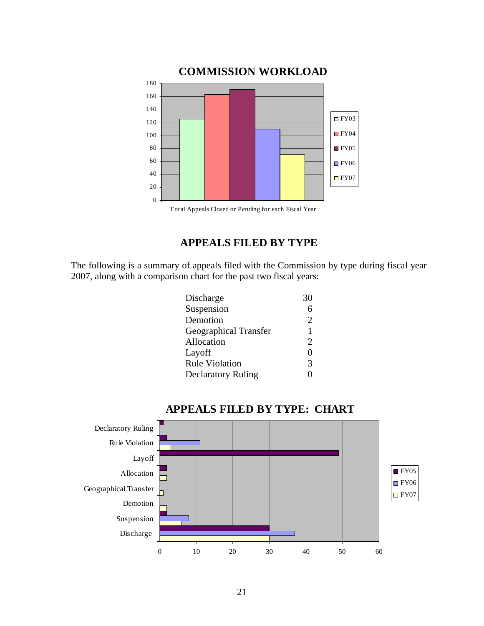

# **APPEALS FILED BY TYPE**

The following is a summary of appeals filed with the Commission by type during fiscal year 2007, along with a comparison chart for the past two fiscal years:

| Discharge                    | 30                    |
|------------------------------|-----------------------|
| Suspension                   |                       |
| Demotion                     | $\mathcal{D}_{\cdot}$ |
| <b>Geographical Transfer</b> |                       |
| Allocation                   |                       |
| Layoff                       | $\mathbf{\Omega}$     |
| <b>Rule Violation</b>        | 3                     |
| <b>Declaratory Ruling</b>    |                       |
|                              |                       |



#### **APPEALS FILED BY TYPE: CHART**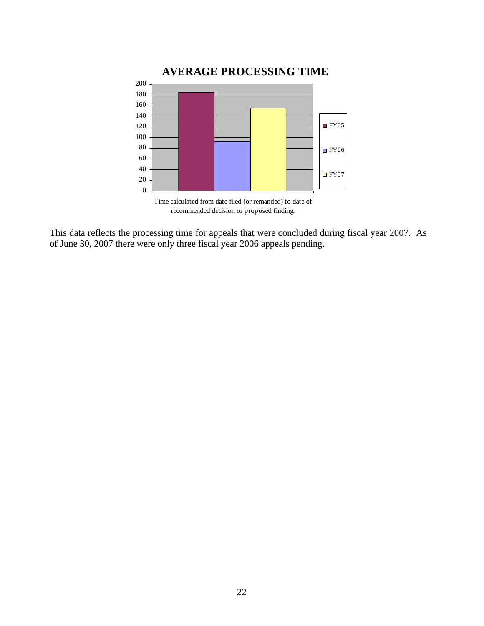

recommended decision or proposed finding.

This data reflects the processing time for appeals that were concluded during fiscal year 2007. As of June 30, 2007 there were only three fiscal year 2006 appeals pending.